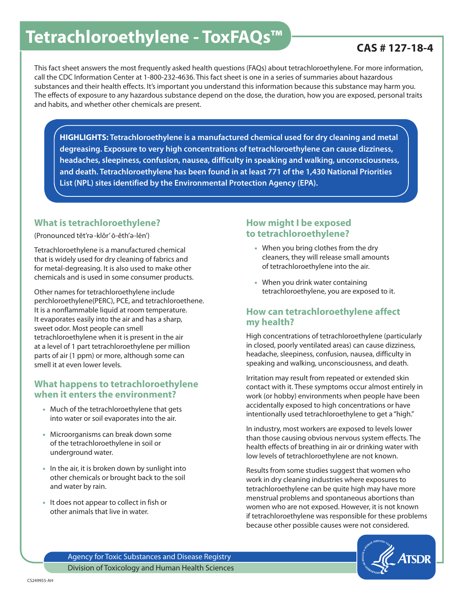# Tetrachloroethylene - ToxFAQs<sup>™</sup> FRAMENT CAS # 127-18-4

This fact sheet answers the most frequently asked health questions (FAQs) about tetrachloroethylene. For more information, call the CDC Information Center at 1-800-232-4636. This fact sheet is one in a series of summaries about hazardous substances and their health effects. It's important you understand this information because this substance may harm you. The effects of exposure to any hazardous substance depend on the dose, the duration, how you are exposed, personal traits and habits, and whether other chemicals are present.

**HIGHLIGHTS: Tetrachloroethylene is a manufactured chemical used for dry cleaning and metal degreasing. Exposure to very high concentrations of tetrachloroethylene can cause dizziness, headaches, sleepiness, confusion, nausea, difficulty in speaking and walking, unconsciousness, and death. Tetrachloroethylene has been found in at least 771 of the 1,430 National Priorities List (NPL) sites identified by the Environmental Protection Agency (EPA).**

#### **What is tetrachloroethylene?**

(Pronounced tĕt'rә -klôr' ō-ĕth'ә -lēn')

Tetrachloroethylene is a manufactured chemical that is widely used for dry cleaning of fabrics and for metal-degreasing. It is also used to make other chemicals and is used in some consumer products.

Other names for tetrachloroethylene include perchloroethylene(PERC), PCE, and tetrachloroethene. It is a nonflammable liquid at room temperature. It evaporates easily into the air and has a sharp, sweet odor. Most people can smell tetrachloroethylene when it is present in the air at a level of 1 part tetrachloroethylene per million parts of air (1 ppm) or more, although some can smell it at even lower levels.

#### **What happens to tetrachloroethylene when it enters the environment?**

- Much of the tetrachloroethylene that gets into water or soil evaporates into the air.
- Microorganisms can break down some of the tetrachloroethylene in soil or underground water.
- In the air, it is broken down by sunlight into other chemicals or brought back to the soil and water by rain.
- It does not appear to collect in fish or other animals that live in water.

#### **How might I be exposed to tetrachloroethylene?**

- When you bring clothes from the dry cleaners, they will release small amounts of tetrachloroethylene into the air.
- When you drink water containing tetrachloroethylene, you are exposed to it.

#### **How can tetrachloroethylene affect my health?**

High concentrations of tetrachloroethylene (particularly in closed, poorly ventilated areas) can cause dizziness, headache, sleepiness, confusion, nausea, difficulty in speaking and walking, unconsciousness, and death.

Irritation may result from repeated or extended skin contact with it. These symptoms occur almost entirely in work (or hobby) environments when people have been accidentally exposed to high concentrations or have intentionally used tetrachloroethylene to get a "high."

In industry, most workers are exposed to levels lower than those causing obvious nervous system effects. The health effects of breathing in air or drinking water with low levels of tetrachloroethylene are not known.

Results from some studies suggest that women who work in dry cleaning industries where exposures to tetrachloroethylene can be quite high may have more menstrual problems and spontaneous abortions than women who are not exposed. However, it is not known if tetrachloroethylene was responsible for these problems because other possible causes were not considered.



Agency for Toxic Substances and Disease Registry Division of Toxicology and Human Health Sciences